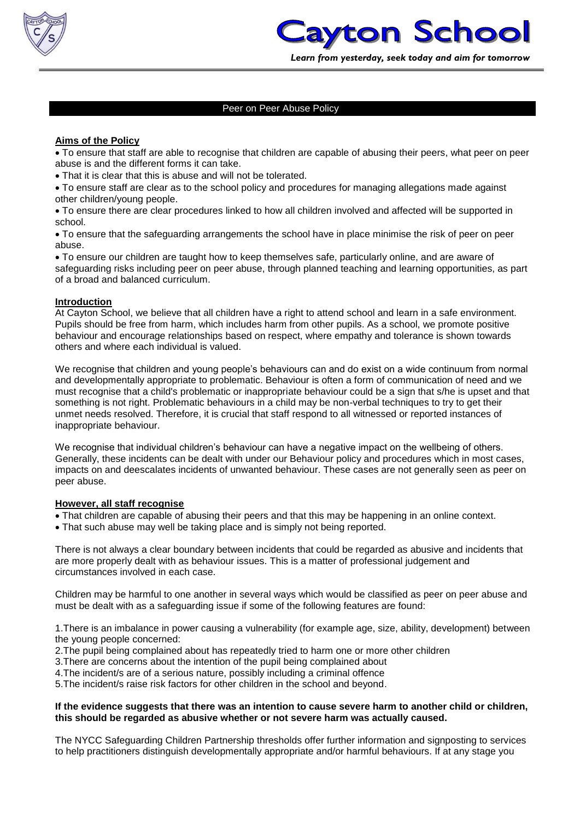

### Peer on Peer Abuse Policy

### **Aims of the Policy**

 To ensure that staff are able to recognise that children are capable of abusing their peers, what peer on peer abuse is and the different forms it can take.

That it is clear that this is abuse and will not be tolerated.

 To ensure staff are clear as to the school policy and procedures for managing allegations made against other children/young people.

 To ensure there are clear procedures linked to how all children involved and affected will be supported in school.

 To ensure that the safeguarding arrangements the school have in place minimise the risk of peer on peer abuse.

 To ensure our children are taught how to keep themselves safe, particularly online, and are aware of safeguarding risks including peer on peer abuse, through planned teaching and learning opportunities, as part of a broad and balanced curriculum.

#### **Introduction**

At Cayton School, we believe that all children have a right to attend school and learn in a safe environment. Pupils should be free from harm, which includes harm from other pupils. As a school, we promote positive behaviour and encourage relationships based on respect, where empathy and tolerance is shown towards others and where each individual is valued.

We recognise that children and young people's behaviours can and do exist on a wide continuum from normal and developmentally appropriate to problematic. Behaviour is often a form of communication of need and we must recognise that a child's problematic or inappropriate behaviour could be a sign that s/he is upset and that something is not right. Problematic behaviours in a child may be non-verbal techniques to try to get their unmet needs resolved. Therefore, it is crucial that staff respond to all witnessed or reported instances of inappropriate behaviour.

We recognise that individual children's behaviour can have a negative impact on the wellbeing of others. Generally, these incidents can be dealt with under our Behaviour policy and procedures which in most cases, impacts on and deescalates incidents of unwanted behaviour. These cases are not generally seen as peer on peer abuse.

#### **However, all staff recognise**

- That children are capable of abusing their peers and that this may be happening in an online context.
- That such abuse may well be taking place and is simply not being reported.

There is not always a clear boundary between incidents that could be regarded as abusive and incidents that are more properly dealt with as behaviour issues. This is a matter of professional judgement and circumstances involved in each case.

Children may be harmful to one another in several ways which would be classified as peer on peer abuse and must be dealt with as a safeguarding issue if some of the following features are found:

1.There is an imbalance in power causing a vulnerability (for example age, size, ability, development) between the young people concerned:

2.The pupil being complained about has repeatedly tried to harm one or more other children

3.There are concerns about the intention of the pupil being complained about

4.The incident/s are of a serious nature, possibly including a criminal offence

5.The incident/s raise risk factors for other children in the school and beyond.

#### **If the evidence suggests that there was an intention to cause severe harm to another child or children, this should be regarded as abusive whether or not severe harm was actually caused.**

The NYCC Safeguarding Children Partnership thresholds offer further information and signposting to services to help practitioners distinguish developmentally appropriate and/or harmful behaviours. If at any stage you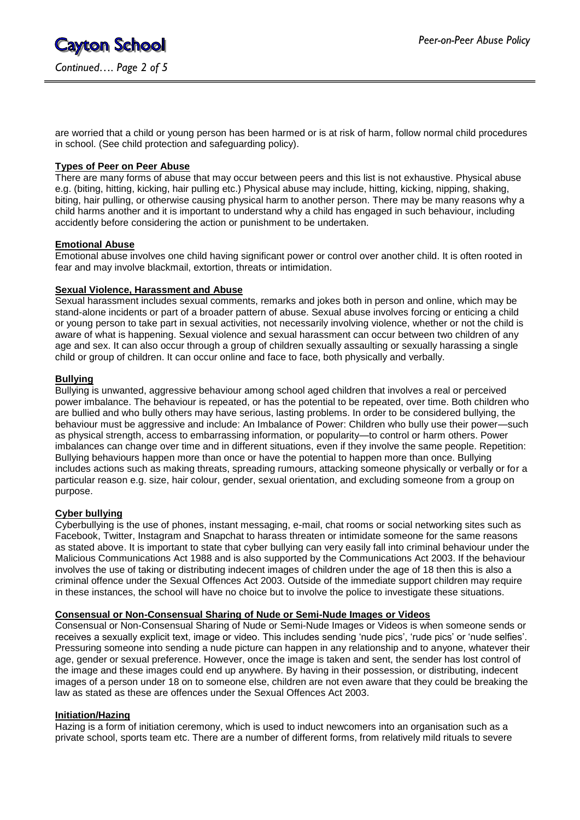are worried that a child or young person has been harmed or is at risk of harm, follow normal child procedures in school. (See child protection and safeguarding policy).

### **Types of Peer on Peer Abuse**

There are many forms of abuse that may occur between peers and this list is not exhaustive. Physical abuse e.g. (biting, hitting, kicking, hair pulling etc.) Physical abuse may include, hitting, kicking, nipping, shaking, biting, hair pulling, or otherwise causing physical harm to another person. There may be many reasons why a child harms another and it is important to understand why a child has engaged in such behaviour, including accidently before considering the action or punishment to be undertaken.

# **Emotional Abuse**

Emotional abuse involves one child having significant power or control over another child. It is often rooted in fear and may involve blackmail, extortion, threats or intimidation.

#### **Sexual Violence, Harassment and Abuse**

Sexual harassment includes sexual comments, remarks and jokes both in person and online, which may be stand-alone incidents or part of a broader pattern of abuse. Sexual abuse involves forcing or enticing a child or young person to take part in sexual activities, not necessarily involving violence, whether or not the child is aware of what is happening. Sexual violence and sexual harassment can occur between two children of any age and sex. It can also occur through a group of children sexually assaulting or sexually harassing a single child or group of children. It can occur online and face to face, both physically and verbally.

#### **Bullying**

Bullying is unwanted, aggressive behaviour among school aged children that involves a real or perceived power imbalance. The behaviour is repeated, or has the potential to be repeated, over time. Both children who are bullied and who bully others may have serious, lasting problems. In order to be considered bullying, the behaviour must be aggressive and include: An Imbalance of Power: Children who bully use their power—such as physical strength, access to embarrassing information, or popularity—to control or harm others. Power imbalances can change over time and in different situations, even if they involve the same people. Repetition: Bullying behaviours happen more than once or have the potential to happen more than once. Bullying includes actions such as making threats, spreading rumours, attacking someone physically or verbally or for a particular reason e.g. size, hair colour, gender, sexual orientation, and excluding someone from a group on purpose.

#### **Cyber bullying**

Cyberbullying is the use of phones, instant messaging, e-mail, chat rooms or social networking sites such as Facebook, Twitter, Instagram and Snapchat to harass threaten or intimidate someone for the same reasons as stated above. It is important to state that cyber bullying can very easily fall into criminal behaviour under the Malicious Communications Act 1988 and is also supported by the Communications Act 2003. If the behaviour involves the use of taking or distributing indecent images of children under the age of 18 then this is also a criminal offence under the Sexual Offences Act 2003. Outside of the immediate support children may require in these instances, the school will have no choice but to involve the police to investigate these situations.

#### **Consensual or Non-Consensual Sharing of Nude or Semi-Nude Images or Videos**

Consensual or Non-Consensual Sharing of Nude or Semi-Nude Images or Videos is when someone sends or receives a sexually explicit text, image or video. This includes sending 'nude pics', 'rude pics' or 'nude selfies'. Pressuring someone into sending a nude picture can happen in any relationship and to anyone, whatever their age, gender or sexual preference. However, once the image is taken and sent, the sender has lost control of the image and these images could end up anywhere. By having in their possession, or distributing, indecent images of a person under 18 on to someone else, children are not even aware that they could be breaking the law as stated as these are offences under the Sexual Offences Act 2003.

#### **Initiation/Hazing**

Hazing is a form of initiation ceremony, which is used to induct newcomers into an organisation such as a private school, sports team etc. There are a number of different forms, from relatively mild rituals to severe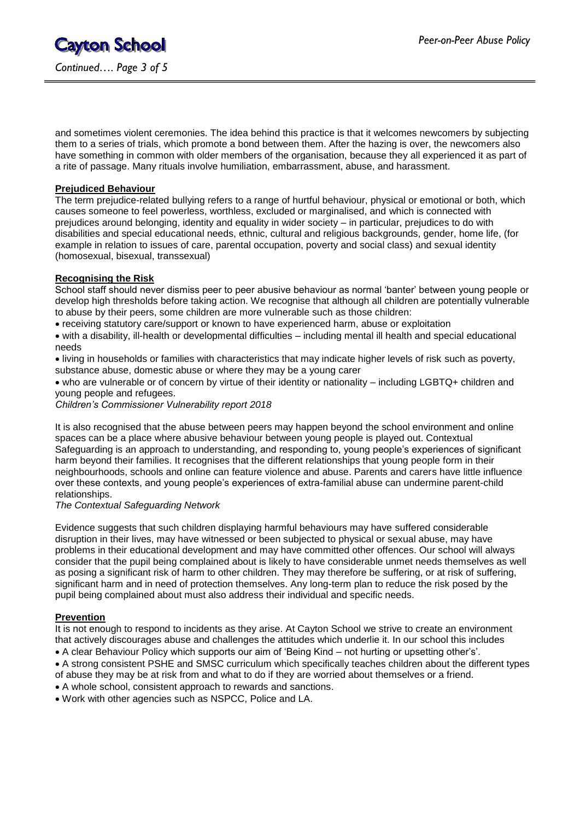and sometimes violent ceremonies. The idea behind this practice is that it welcomes newcomers by subjecting them to a series of trials, which promote a bond between them. After the hazing is over, the newcomers also have something in common with older members of the organisation, because they all experienced it as part of a rite of passage. Many rituals involve humiliation, embarrassment, abuse, and harassment.

# **Prejudiced Behaviour**

The term prejudice-related bullying refers to a range of hurtful behaviour, physical or emotional or both, which causes someone to feel powerless, worthless, excluded or marginalised, and which is connected with prejudices around belonging, identity and equality in wider society – in particular, prejudices to do with disabilities and special educational needs, ethnic, cultural and religious backgrounds, gender, home life, (for example in relation to issues of care, parental occupation, poverty and social class) and sexual identity (homosexual, bisexual, transsexual)

# **Recognising the Risk**

School staff should never dismiss peer to peer abusive behaviour as normal 'banter' between young people or develop high thresholds before taking action. We recognise that although all children are potentially vulnerable to abuse by their peers, some children are more vulnerable such as those children:

receiving statutory care/support or known to have experienced harm, abuse or exploitation

 with a disability, ill-health or developmental difficulties – including mental ill health and special educational needs

 living in households or families with characteristics that may indicate higher levels of risk such as poverty, substance abuse, domestic abuse or where they may be a young carer

 who are vulnerable or of concern by virtue of their identity or nationality – including LGBTQ+ children and young people and refugees.

*Children's Commissioner Vulnerability report 2018*

It is also recognised that the abuse between peers may happen beyond the school environment and online spaces can be a place where abusive behaviour between young people is played out. Contextual Safeguarding is an approach to understanding, and responding to, young people's experiences of significant harm beyond their families. It recognises that the different relationships that young people form in their neighbourhoods, schools and online can feature violence and abuse. Parents and carers have little influence over these contexts, and young people's experiences of extra-familial abuse can undermine parent-child relationships.

#### *The Contextual Safeguarding Network*

Evidence suggests that such children displaying harmful behaviours may have suffered considerable disruption in their lives, may have witnessed or been subjected to physical or sexual abuse, may have problems in their educational development and may have committed other offences. Our school will always consider that the pupil being complained about is likely to have considerable unmet needs themselves as well as posing a significant risk of harm to other children. They may therefore be suffering, or at risk of suffering, significant harm and in need of protection themselves. Any long-term plan to reduce the risk posed by the pupil being complained about must also address their individual and specific needs.

#### **Prevention**

It is not enough to respond to incidents as they arise. At Cayton School we strive to create an environment that actively discourages abuse and challenges the attitudes which underlie it. In our school this includes

- A clear Behaviour Policy which supports our aim of 'Being Kind not hurting or upsetting other's'.
- A strong consistent PSHE and SMSC curriculum which specifically teaches children about the different types of abuse they may be at risk from and what to do if they are worried about themselves or a friend.
- A whole school, consistent approach to rewards and sanctions.
- Work with other agencies such as NSPCC, Police and LA.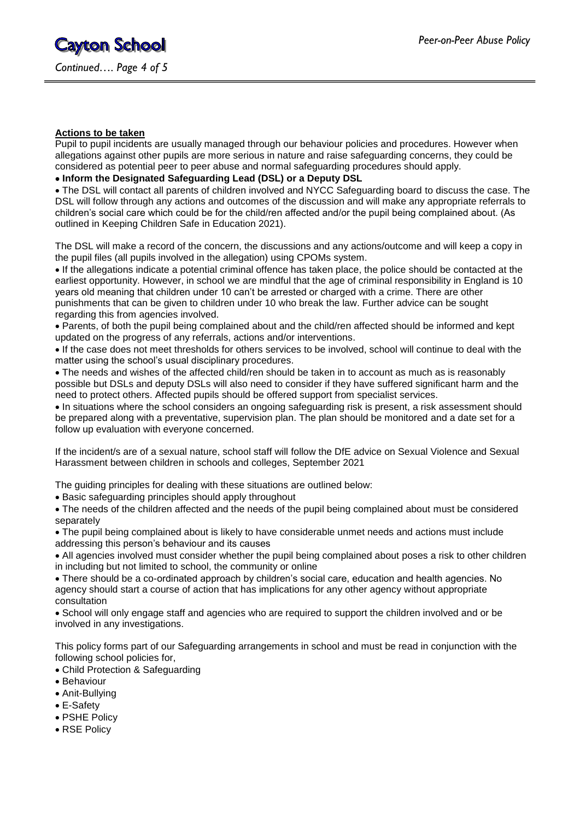#### **Actions to be taken**

Pupil to pupil incidents are usually managed through our behaviour policies and procedures. However when allegations against other pupils are more serious in nature and raise safeguarding concerns, they could be considered as potential peer to peer abuse and normal safeguarding procedures should apply.

# **Inform the Designated Safeguarding Lead (DSL) or a Deputy DSL**

 The DSL will contact all parents of children involved and NYCC Safeguarding board to discuss the case. The DSL will follow through any actions and outcomes of the discussion and will make any appropriate referrals to children's social care which could be for the child/ren affected and/or the pupil being complained about. (As outlined in Keeping Children Safe in Education 2021).

The DSL will make a record of the concern, the discussions and any actions/outcome and will keep a copy in the pupil files (all pupils involved in the allegation) using CPOMs system.

 If the allegations indicate a potential criminal offence has taken place, the police should be contacted at the earliest opportunity. However, in school we are mindful that the age of criminal responsibility in England is 10 years old meaning that children under 10 can't be arrested or charged with a crime. There are other punishments that can be given to children under 10 who break the law. Further advice can be sought regarding this from agencies involved.

 Parents, of both the pupil being complained about and the child/ren affected should be informed and kept updated on the progress of any referrals, actions and/or interventions.

 If the case does not meet thresholds for others services to be involved, school will continue to deal with the matter using the school's usual disciplinary procedures.

 The needs and wishes of the affected child/ren should be taken in to account as much as is reasonably possible but DSLs and deputy DSLs will also need to consider if they have suffered significant harm and the need to protect others. Affected pupils should be offered support from specialist services.

 In situations where the school considers an ongoing safeguarding risk is present, a risk assessment should be prepared along with a preventative, supervision plan. The plan should be monitored and a date set for a follow up evaluation with everyone concerned.

If the incident/s are of a sexual nature, school staff will follow the DfE advice on Sexual Violence and Sexual Harassment between children in schools and colleges, September 2021

The guiding principles for dealing with these situations are outlined below:

Basic safeguarding principles should apply throughout

 The needs of the children affected and the needs of the pupil being complained about must be considered separately

 The pupil being complained about is likely to have considerable unmet needs and actions must include addressing this person's behaviour and its causes

 All agencies involved must consider whether the pupil being complained about poses a risk to other children in including but not limited to school, the community or online

 There should be a co-ordinated approach by children's social care, education and health agencies. No agency should start a course of action that has implications for any other agency without appropriate consultation

 School will only engage staff and agencies who are required to support the children involved and or be involved in any investigations.

This policy forms part of our Safeguarding arrangements in school and must be read in conjunction with the following school policies for,

- Child Protection & Safeguarding
- Behaviour
- Anit-Bullying
- E-Safety
- PSHE Policy
- RSE Policy